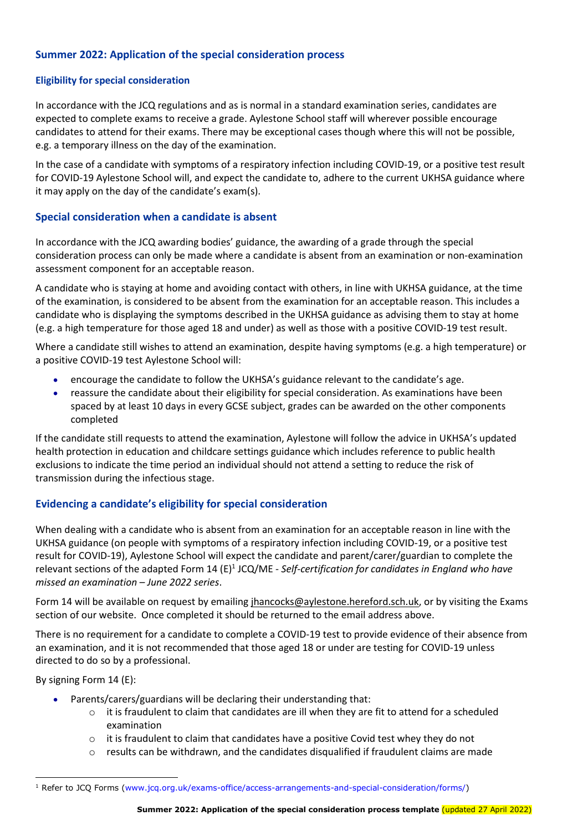# Summer 2022: Application of the special consideration process

#### Eligibility for special consideration

In accordance with the JCQ regulations and as is normal in a standard examination series, candidates are expected to complete exams to receive a grade. Aylestone School staff will wherever possible encourage candidates to attend for their exams. There may be exceptional cases though where this will not be possible, e.g. a temporary illness on the day of the examination.

In the case of a candidate with symptoms of a respiratory infection including COVID-19, or a positive test result for COVID-19 Aylestone School will, and expect the candidate to, adhere to the current UKHSA guidance where it may apply on the day of the candidate's exam(s).

### Special consideration when a candidate is absent

In accordance with the JCQ awarding bodies' guidance, the awarding of a grade through the special consideration process can only be made where a candidate is absent from an examination or non-examination assessment component for an acceptable reason.

A candidate who is staying at home and avoiding contact with others, in line with UKHSA guidance, at the time of the examination, is considered to be absent from the examination for an acceptable reason. This includes a candidate who is displaying the symptoms described in the UKHSA guidance as advising them to stay at home (e.g. a high temperature for those aged 18 and under) as well as those with a positive COVID-19 test result.

Where a candidate still wishes to attend an examination, despite having symptoms (e.g. a high temperature) or a positive COVID-19 test Aylestone School will:

- encourage the candidate to follow the UKHSA's guidance relevant to the candidate's age.
- reassure the candidate about their eligibility for special consideration. As examinations have been spaced by at least 10 days in every GCSE subject, grades can be awarded on the other components completed

If the candidate still requests to attend the examination, Aylestone will follow the advice in UKHSA's updated health protection in education and childcare settings guidance which includes reference to public health exclusions to indicate the time period an individual should not attend a setting to reduce the risk of transmission during the infectious stage.

## Evidencing a candidate's eligibility for special consideration

When dealing with a candidate who is absent from an examination for an acceptable reason in line with the UKHSA guidance (on people with symptoms of a respiratory infection including COVID-19, or a positive test result for COVID-19), Aylestone School will expect the candidate and parent/carer/guardian to complete the relevant sections of the adapted Form 14 (E)<sup>1</sup> JCQ/ME - Self-certification for candidates in England who have missed an examination – June 2022 series.

Form 14 will be available on request by emailing jhancocks@aylestone.hereford.sch.uk, or by visiting the Exams section of our website. Once completed it should be returned to the email address above.

There is no requirement for a candidate to complete a COVID-19 test to provide evidence of their absence from an examination, and it is not recommended that those aged 18 or under are testing for COVID-19 unless directed to do so by a professional.

By signing Form 14 (E):

-

- Parents/carers/guardians will be declaring their understanding that:
	- $\circ$  it is fraudulent to claim that candidates are ill when they are fit to attend for a scheduled examination
	- $\circ$  it is fraudulent to claim that candidates have a positive Covid test whey they do not
	- results can be withdrawn, and the candidates disqualified if fraudulent claims are made

<sup>&</sup>lt;sup>1</sup> Refer to JCQ Forms (www.jcq.org.uk/exams-office/access-arrangements-and-special-consideration/forms/)